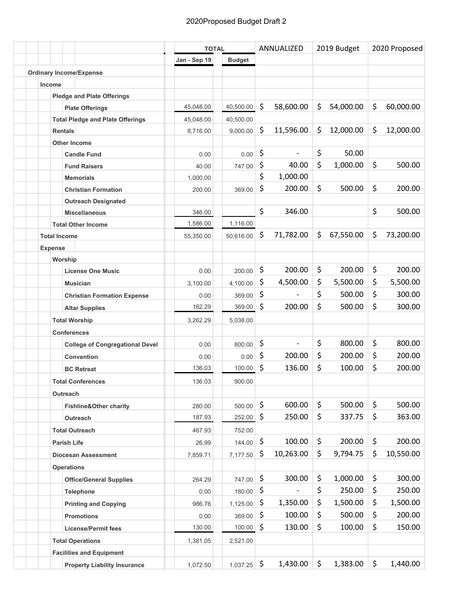|                                         |              | <b>TOTAL</b>  |    | ANNUALIZED     |    | 2019 Budget |    | 2020 Proposed |  |
|-----------------------------------------|--------------|---------------|----|----------------|----|-------------|----|---------------|--|
|                                         | Jan - Sep 19 | <b>Budget</b> |    |                |    |             |    |               |  |
| <b>Ordinary Income/Expense</b>          |              |               |    |                |    |             |    |               |  |
| Income                                  |              |               |    |                |    |             |    |               |  |
| <b>Pledge and Plate Offerings</b>       |              |               |    |                |    |             |    |               |  |
| <b>Plate Offerings</b>                  | 45,048.00    | 40,500.00     | \$ | 58,600.00      | \$ | 54,000.00   | \$ | 60,000.00     |  |
| <b>Total Pledge and Plate Offerings</b> | 45,048.00    | 40,500.00     |    |                |    |             |    |               |  |
| <b>Rentals</b>                          | 8,716.00     | 9,000.00      | \$ | 11,596.00      | \$ | 12,000.00   | \$ | 12,000.00     |  |
| <b>Other Income</b>                     |              |               |    |                |    |             |    |               |  |
| <b>Candle Fund</b>                      | 0.00         | 0.00          | \$ |                | \$ | 50.00       |    |               |  |
| <b>Fund Raisers</b>                     | 40.00        | 747.00        | \$ | 40.00          | \$ | 1,000.00    | \$ | 500.00        |  |
| <b>Memorials</b>                        | 1,000.00     |               | \$ | 1,000.00       |    |             |    |               |  |
| <b>Christian Formation</b>              | 200.00       | 369.00        | \$ | 200.00         | \$ | 500.00      | \$ | 200.00        |  |
| <b>Outreach Designated</b>              |              |               |    |                |    |             |    |               |  |
| <b>Miscellaneous</b>                    | 346.00       |               | \$ | 346.00         |    |             | \$ | 500.00        |  |
| <b>Total Other Income</b>               | 1,586.00     | 1,116.00      |    |                |    |             |    |               |  |
| <b>Total Income</b>                     | 55,350.00    | 50,616.00     | \$ | 71,782.00      | \$ | 67,550.00   | \$ | 73,200.00     |  |
| <b>Expense</b>                          |              |               |    |                |    |             |    |               |  |
| Worship                                 |              |               |    |                |    |             |    |               |  |
| <b>License One Music</b>                | 0.00         | 200.00        | \$ | 200.00         | \$ | 200.00      | \$ | 200.00        |  |
| <b>Musician</b>                         | 3,100.00     | 4,100.00      | \$ | 4,500.00       | \$ | 5,500.00    | \$ | 5,500.00      |  |
| <b>Christian Formation Expense</b>      | 0.00         | 369.00        | \$ |                | \$ | 500.00      | \$ | 300.00        |  |
| <b>Altar Supplies</b>                   | 162.29       | 369.00        | \$ | 200.00         | \$ | 500.00      | \$ | 300.00        |  |
| <b>Total Worship</b>                    | 3,262.29     | 5,038.00      |    |                |    |             |    |               |  |
| <b>Conferences</b>                      |              |               |    |                |    |             |    |               |  |
| <b>College of Congregational Devel</b>  | 0.00         | 800.00        | \$ | $\blacksquare$ | \$ | 800.00      | \$ | 800.00        |  |
| <b>Convention</b>                       | 0.00         | 0.00          | \$ | 200.00         | \$ | 200.00      | \$ | 200.00        |  |
| <b>BC Retreat</b>                       | 136.03       | 100.00        | \$ | 136.00         | \$ | 100.00      | \$ | 200.00        |  |
| <b>Total Conferences</b>                | 136.03       | 900.00        |    |                |    |             |    |               |  |
| Outreach                                |              |               |    |                |    |             |    |               |  |
| <b>Fishline&amp;Other charity</b>       | 280.00       | 500.00        | \$ | 600.00         | \$ | 500.00      | \$ | 500.00        |  |
| Outreach                                | 187.93       | 252.00        | \$ | 250.00         | \$ | 337.75      | \$ | 363.00        |  |
|                                         | 467.93       | 752.00        |    |                |    |             |    |               |  |
| <b>Total Outreach</b>                   |              |               | \$ | 100.00         | \$ | 200.00      | \$ | 200.00        |  |
| <b>Parish Life</b>                      | 26.99        | 144.00        |    |                |    |             |    |               |  |
| <b>Diocesan Assessment</b>              | 7,859.71     | 7,177.50      | \$ | 10,263.00      | \$ | 9,794.75    | \$ | 10,550.00     |  |
| <b>Operations</b>                       |              |               |    |                |    |             |    |               |  |
| <b>Office/General Supplies</b>          | 264.29       | 747.00        | \$ | 300.00         | \$ | 1,000.00    | \$ | 300.00        |  |
| Telephone                               | 0.00         | 180.00        | \$ |                | \$ | 250.00      | \$ | 250.00        |  |
| <b>Printing and Copying</b>             | 986.76       | 1,125.00      | \$ | 1,350.00       | \$ | 1,500.00    | \$ | 1,500.00      |  |
| <b>Promotions</b>                       | 0.00         | 369.00        | \$ | 100.00         | \$ | 500.00      | \$ | 200.00        |  |
| <b>License/Permit fees</b>              | 130.00       | 100.00        | \$ | 130.00         | \$ | 100.00      | \$ | 150.00        |  |
| <b>Total Operations</b>                 | 1,381.05     | 2,521.00      |    |                |    |             |    |               |  |
| <b>Facilities and Equipment</b>         |              |               |    |                |    |             |    |               |  |
| <b>Property Liability Insurance</b>     | 1,072.50     | 1,037.25      | \$ | 1,430.00       | \$ | 1,383.00    | \$ | 1,440.00      |  |